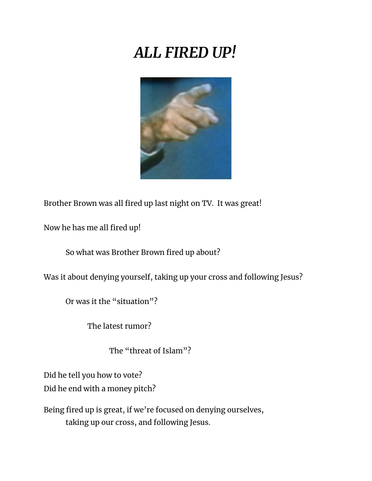## *ALL FIRED UP!*



Brother Brown was all fired up last night on TV. It was great!

Now he has me all fired up!

So what was Brother Brown fired up about?

Was it about denying yourself, taking up your cross and following Jesus?

Or was it the "situation"?

The latest rumor?

The "threat of Islam"?

Did he tell you how to vote?

Did he end with a money pitch?

Being fired up is great, if we're focused on denying ourselves, taking up our cross, and following Jesus.